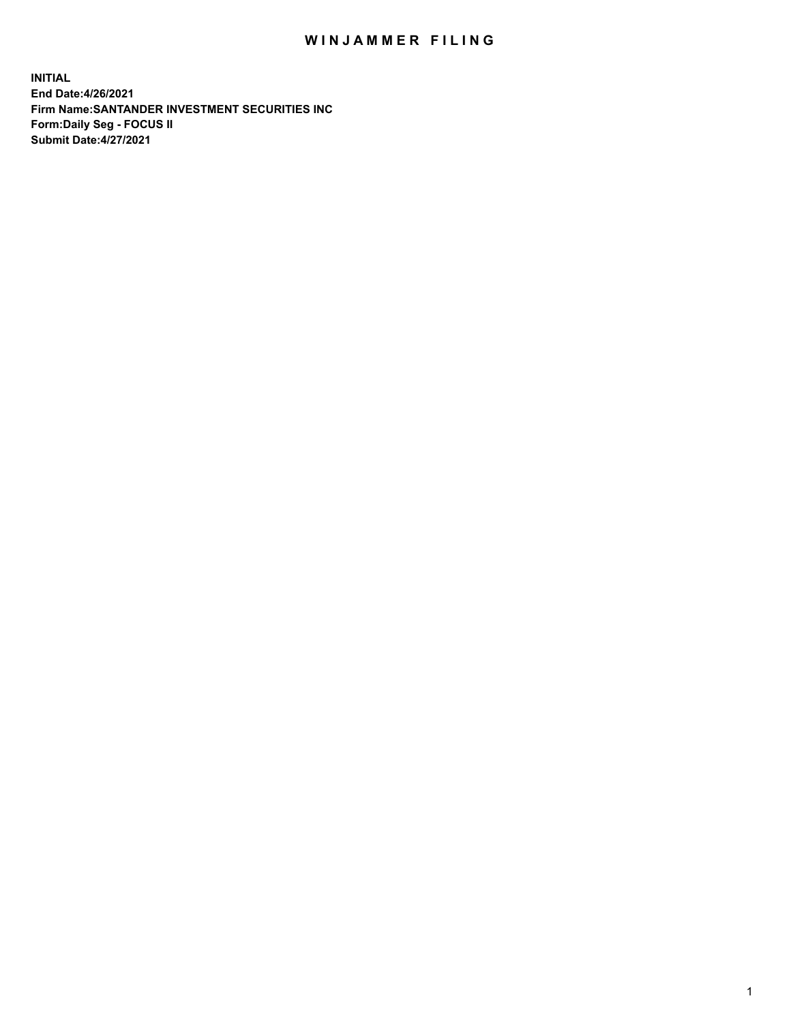## WIN JAMMER FILING

**INITIAL End Date:4/26/2021 Firm Name:SANTANDER INVESTMENT SECURITIES INC Form:Daily Seg - FOCUS II Submit Date:4/27/2021**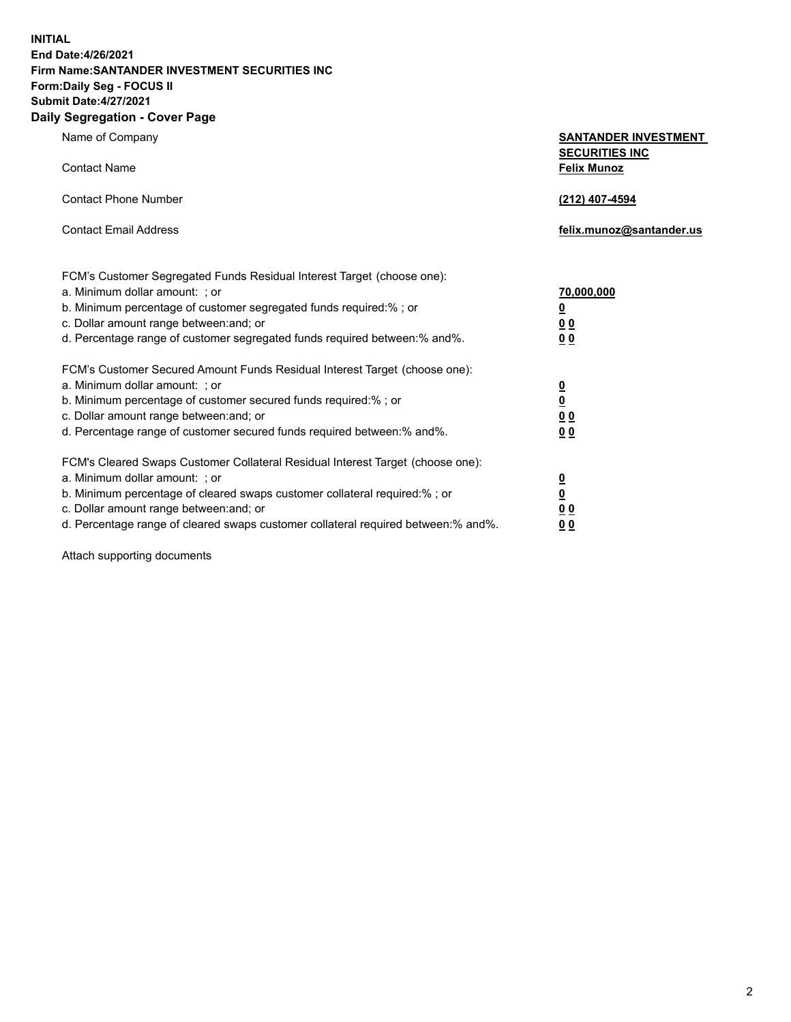**INITIAL End Date:4/26/2021 Firm Name:SANTANDER INVESTMENT SECURITIES INC Form:Daily Seg - FOCUS II Submit Date:4/27/2021 Daily Segregation - Cover Page**

| , ocgicgation - oover rage                                                                                                                                                                                                                                                                                                                                                         |                                                                                    |
|------------------------------------------------------------------------------------------------------------------------------------------------------------------------------------------------------------------------------------------------------------------------------------------------------------------------------------------------------------------------------------|------------------------------------------------------------------------------------|
| Name of Company                                                                                                                                                                                                                                                                                                                                                                    | <b>SANTANDER INVESTMENT</b><br><b>SECURITIES INC</b>                               |
| <b>Contact Name</b>                                                                                                                                                                                                                                                                                                                                                                | <b>Felix Munoz</b>                                                                 |
| <b>Contact Phone Number</b>                                                                                                                                                                                                                                                                                                                                                        | (212) 407-4594                                                                     |
| <b>Contact Email Address</b>                                                                                                                                                                                                                                                                                                                                                       | felix.munoz@santander.us                                                           |
| FCM's Customer Segregated Funds Residual Interest Target (choose one):<br>a. Minimum dollar amount: ; or<br>b. Minimum percentage of customer segregated funds required:% ; or<br>c. Dollar amount range between: and; or                                                                                                                                                          | 70,000,000<br>$\underline{\mathbf{0}}$<br>0 <sub>0</sub>                           |
| d. Percentage range of customer segregated funds required between: % and %.<br>FCM's Customer Secured Amount Funds Residual Interest Target (choose one):<br>a. Minimum dollar amount: ; or<br>b. Minimum percentage of customer secured funds required:%; or<br>c. Dollar amount range between: and; or<br>d. Percentage range of customer secured funds required between:% and%. | 0 <sub>0</sub><br>$\frac{0}{0}$<br>$\underline{0} \underline{0}$<br>0 <sub>0</sub> |
| FCM's Cleared Swaps Customer Collateral Residual Interest Target (choose one):<br>a. Minimum dollar amount: ; or<br>b. Minimum percentage of cleared swaps customer collateral required:% ; or<br>c. Dollar amount range between: and; or<br>d. Percentage range of cleared swaps customer collateral required between:% and%.                                                     | $\frac{0}{0}$<br>$\underline{0} \underline{0}$<br>0 <sub>0</sub>                   |

Attach supporting documents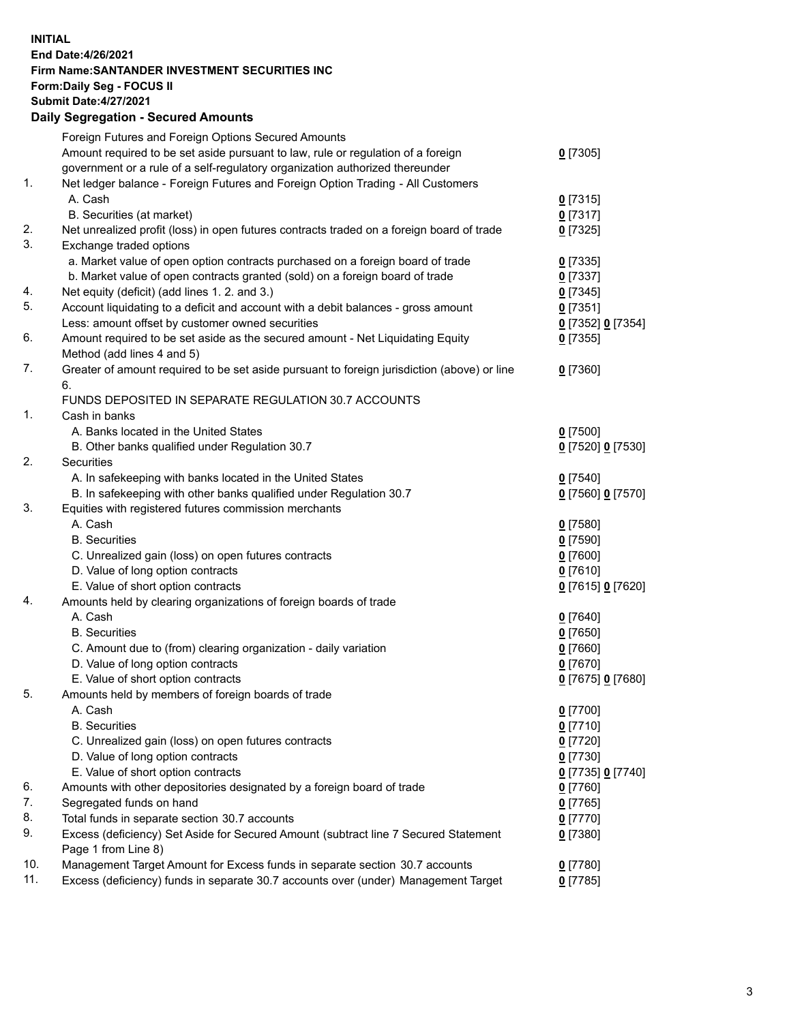## **INITIAL End Date:4/26/2021 Firm Name:SANTANDER INVESTMENT SECURITIES INC Form:Daily Seg - FOCUS II Submit Date:4/27/2021 Daily Segregation - Secured Amounts**

|          | Foreign Futures and Foreign Options Secured Amounts                                         |                   |
|----------|---------------------------------------------------------------------------------------------|-------------------|
|          | Amount required to be set aside pursuant to law, rule or regulation of a foreign            | $0$ [7305]        |
|          | government or a rule of a self-regulatory organization authorized thereunder                |                   |
| 1.       | Net ledger balance - Foreign Futures and Foreign Option Trading - All Customers             |                   |
|          | A. Cash                                                                                     | $0$ [7315]        |
|          | B. Securities (at market)                                                                   | $0$ [7317]        |
| 2.       | Net unrealized profit (loss) in open futures contracts traded on a foreign board of trade   | $0$ [7325]        |
| 3.       | Exchange traded options                                                                     |                   |
|          | a. Market value of open option contracts purchased on a foreign board of trade              | $0$ [7335]        |
|          | b. Market value of open contracts granted (sold) on a foreign board of trade                | $0$ [7337]        |
| 4.       | Net equity (deficit) (add lines 1. 2. and 3.)                                               | $0$ [7345]        |
| 5.       | Account liquidating to a deficit and account with a debit balances - gross amount           | $0$ [7351]        |
|          | Less: amount offset by customer owned securities                                            | 0 [7352] 0 [7354] |
| 6.       | Amount required to be set aside as the secured amount - Net Liquidating Equity              | $0$ [7355]        |
|          | Method (add lines 4 and 5)                                                                  |                   |
| 7.       | Greater of amount required to be set aside pursuant to foreign jurisdiction (above) or line | $0$ [7360]        |
|          | 6.                                                                                          |                   |
|          | FUNDS DEPOSITED IN SEPARATE REGULATION 30.7 ACCOUNTS                                        |                   |
| 1.       | Cash in banks                                                                               |                   |
|          | A. Banks located in the United States                                                       | $0$ [7500]        |
|          | B. Other banks qualified under Regulation 30.7                                              | 0 [7520] 0 [7530] |
| 2.       | Securities                                                                                  |                   |
|          | A. In safekeeping with banks located in the United States                                   | $0$ [7540]        |
|          | B. In safekeeping with other banks qualified under Regulation 30.7                          | 0 [7560] 0 [7570] |
| 3.       | Equities with registered futures commission merchants                                       |                   |
|          | A. Cash                                                                                     | $0$ [7580]        |
|          | <b>B.</b> Securities                                                                        | $0$ [7590]        |
|          | C. Unrealized gain (loss) on open futures contracts                                         | $0$ [7600]        |
|          | D. Value of long option contracts                                                           | $0$ [7610]        |
|          | E. Value of short option contracts                                                          | 0 [7615] 0 [7620] |
| 4.       | Amounts held by clearing organizations of foreign boards of trade                           |                   |
|          | A. Cash                                                                                     | $0$ [7640]        |
|          | <b>B.</b> Securities                                                                        | $0$ [7650]        |
|          | C. Amount due to (from) clearing organization - daily variation                             | $0$ [7660]        |
|          | D. Value of long option contracts                                                           | $0$ [7670]        |
|          | E. Value of short option contracts                                                          | 0 [7675] 0 [7680] |
| 5.       | Amounts held by members of foreign boards of trade                                          |                   |
|          | A. Cash                                                                                     | $0$ [7700]        |
|          | <b>B.</b> Securities                                                                        | $0$ [7710]        |
|          | C. Unrealized gain (loss) on open futures contracts                                         | $0$ [7720]        |
|          |                                                                                             |                   |
|          | D. Value of long option contracts                                                           | $0$ [7730]        |
|          | E. Value of short option contracts                                                          | 0 [7735] 0 [7740] |
| 6.<br>7. | Amounts with other depositories designated by a foreign board of trade                      | $0$ [7760]        |
|          | Segregated funds on hand                                                                    | $0$ [7765]        |
| 8.       | Total funds in separate section 30.7 accounts                                               | $0$ [7770]        |
| 9.       | Excess (deficiency) Set Aside for Secured Amount (subtract line 7 Secured Statement         | $0$ [7380]        |
|          | Page 1 from Line 8)                                                                         |                   |
| 10.      | Management Target Amount for Excess funds in separate section 30.7 accounts                 | $0$ [7780]        |
| 11.      | Excess (deficiency) funds in separate 30.7 accounts over (under) Management Target          | $0$ [7785]        |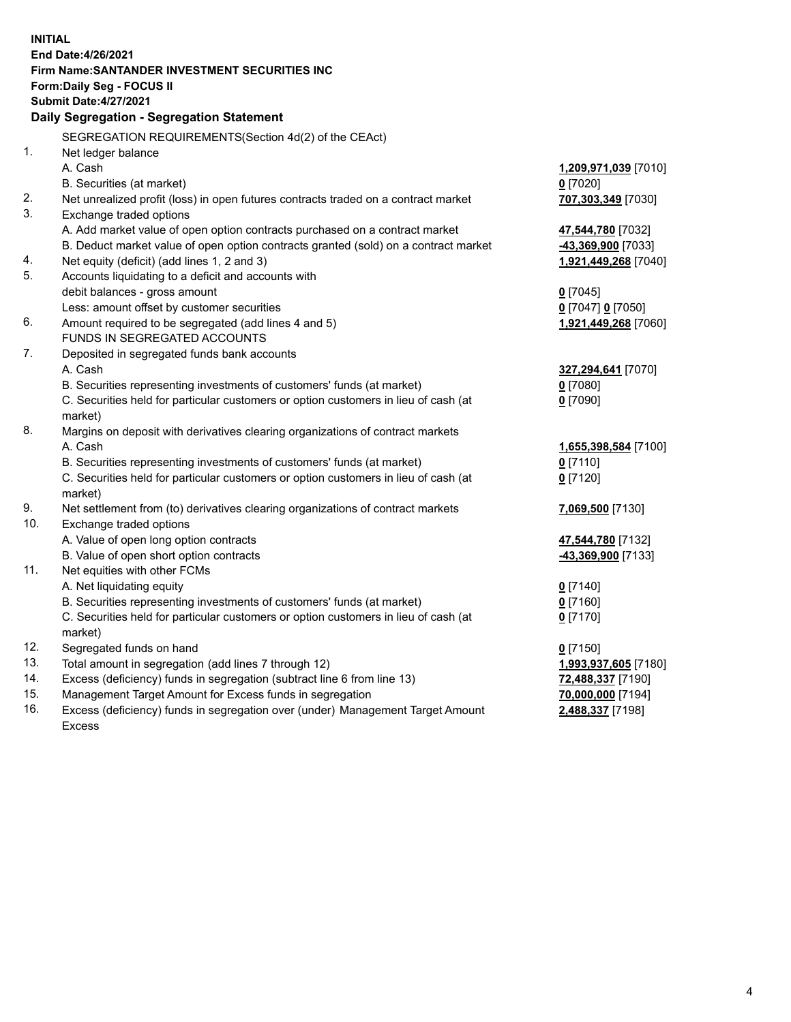| <b>INITIAL</b> |                                                                                                                                            |                      |
|----------------|--------------------------------------------------------------------------------------------------------------------------------------------|----------------------|
|                | End Date: 4/26/2021                                                                                                                        |                      |
|                | <b>Firm Name: SANTANDER INVESTMENT SECURITIES INC</b>                                                                                      |                      |
|                | Form: Daily Seg - FOCUS II                                                                                                                 |                      |
|                | <b>Submit Date:4/27/2021</b>                                                                                                               |                      |
|                | Daily Segregation - Segregation Statement                                                                                                  |                      |
|                | SEGREGATION REQUIREMENTS(Section 4d(2) of the CEAct)                                                                                       |                      |
| 1.             | Net ledger balance                                                                                                                         |                      |
|                | A. Cash                                                                                                                                    | 1,209,971,039 [7010] |
|                | B. Securities (at market)                                                                                                                  | $0$ [7020]           |
| 2.             | Net unrealized profit (loss) in open futures contracts traded on a contract market                                                         | 707,303,349 [7030]   |
| 3.             | Exchange traded options                                                                                                                    |                      |
|                | A. Add market value of open option contracts purchased on a contract market                                                                | 47,544,780 [7032]    |
|                | B. Deduct market value of open option contracts granted (sold) on a contract market                                                        | -43,369,900 [7033]   |
| 4.             | Net equity (deficit) (add lines 1, 2 and 3)                                                                                                | 1,921,449,268 [7040] |
| 5.             | Accounts liquidating to a deficit and accounts with                                                                                        |                      |
|                | debit balances - gross amount                                                                                                              | $0$ [7045]           |
|                | Less: amount offset by customer securities                                                                                                 | 0 [7047] 0 [7050]    |
| 6.             | Amount required to be segregated (add lines 4 and 5)                                                                                       | 1,921,449,268 [7060] |
|                | FUNDS IN SEGREGATED ACCOUNTS                                                                                                               |                      |
| 7.             | Deposited in segregated funds bank accounts                                                                                                |                      |
|                | A. Cash                                                                                                                                    | 327,294,641 [7070]   |
|                | B. Securities representing investments of customers' funds (at market)                                                                     | $0$ [7080]           |
|                | C. Securities held for particular customers or option customers in lieu of cash (at                                                        | $0$ [7090]           |
|                | market)                                                                                                                                    |                      |
| 8.             | Margins on deposit with derivatives clearing organizations of contract markets                                                             |                      |
|                | A. Cash                                                                                                                                    | 1,655,398,584 [7100] |
|                | B. Securities representing investments of customers' funds (at market)                                                                     | $0$ [7110]           |
|                | C. Securities held for particular customers or option customers in lieu of cash (at                                                        | $0$ [7120]           |
|                | market)                                                                                                                                    |                      |
| 9.             | Net settlement from (to) derivatives clearing organizations of contract markets                                                            | 7,069,500 [7130]     |
| 10.            | Exchange traded options                                                                                                                    |                      |
|                | A. Value of open long option contracts                                                                                                     | 47,544,780 [7132]    |
|                | B. Value of open short option contracts                                                                                                    | -43,369,900 [7133]   |
| 11.            | Net equities with other FCMs                                                                                                               |                      |
|                | A. Net liquidating equity                                                                                                                  | $0$ [7140]           |
|                | B. Securities representing investments of customers' funds (at market)                                                                     | $0$ [7160]           |
|                | C. Securities held for particular customers or option customers in lieu of cash (at                                                        | $0$ [7170]           |
|                | market)                                                                                                                                    |                      |
| 12.<br>13.     | Segregated funds on hand                                                                                                                   | $0$ [7150]           |
| 14.            | Total amount in segregation (add lines 7 through 12)                                                                                       | 1,993,937,605 [7180] |
| 15.            | Excess (deficiency) funds in segregation (subtract line 6 from line 13)                                                                    | 72,488,337 [7190]    |
| 16.            | Management Target Amount for Excess funds in segregation<br>Excess (deficiency) funds in segregation over (under) Management Target Amount | 70,000,000 [7194]    |
|                | Excess                                                                                                                                     | 2,488,337 [7198]     |
|                |                                                                                                                                            |                      |